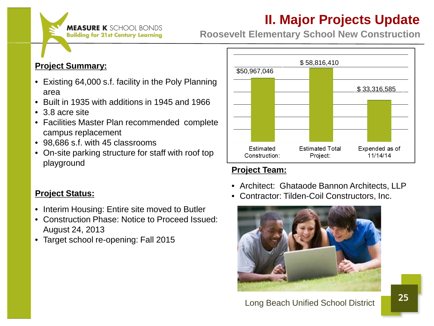

**Roosevelt Elementary School New Construction**

#### **Project Summary:**

- Existing 64,000 s.f. facility in the Poly Planning area
- Built in 1935 with additions in 1945 and 1966
- 3.8 acre site
- Facilities Master Plan recommended complete campus replacement
- 98,686 s.f. with 45 classrooms
- On-site parking structure for staff with roof top playground

#### **Project Status:**

- Interim Housing: Entire site moved to Butler
- Construction Phase: Notice to Proceed Issued: August 24, 2013
- Target school re-opening: Fall 2015



#### **Project Team:**

- Architect: Ghataode Bannon Architects, LLP
- Contractor: Tilden-Coil Constructors, Inc.

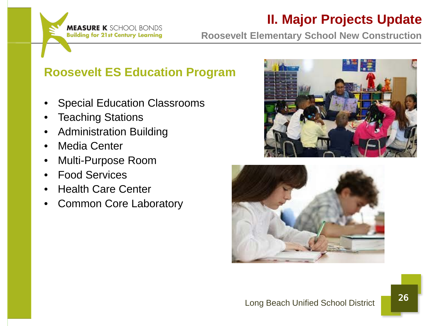

**Roosevelt Elementary School New Construction**

#### **Roosevelt ES Education Program**

- Special Education Classrooms
- **Teaching Stations**
- Administration Building
- Media Center
- Multi-Purpose Room
- Food Services
- Health Care Center
- Common Core Laboratory



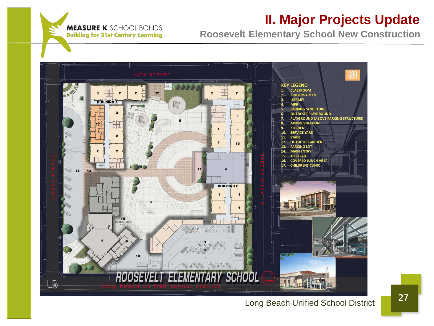

**Roosevelt Elementary School New Construction**



#### Long Beach Unified School District 27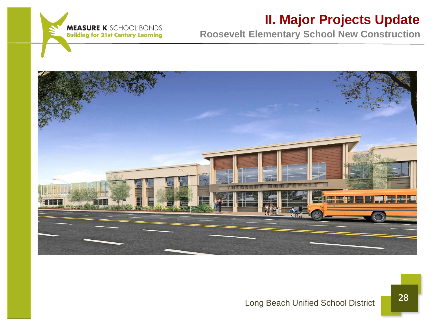

**Roosevelt Elementary School New Construction**